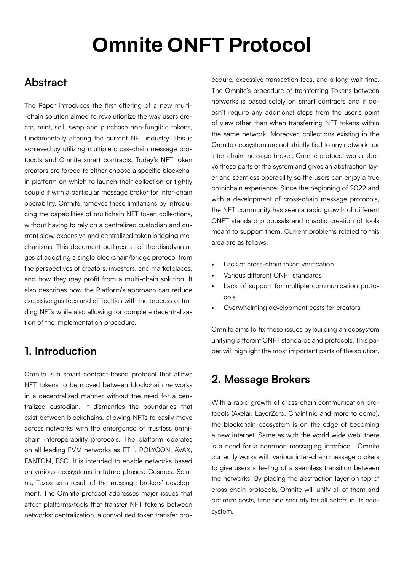# **Omnite ONFT Protocol**

### **Abstract**

The Paper introduces the first offering of a new multi- -chain solution aimed to revolutionize the way users create, mint, sell, swap and purchase non-fungible tokens, fundamentally altering the current NFT industry. This is achieved by utilizing multiple cross-chain message protocols and Omnite smart contracts. Today's NFT token creators are forced to either choose a specific blockchain platform on which to launch their collection or tightly couple it with a particular message broker for inter-chain operability. Omnite removes these limitations by introducing the capabilities of multichain NFT token collections, without having to rely on a centralized custodian and current slow, expensive and centralized token bridging mechanisms. This document outlines all of the disadvantages of adopting a single blockchain/bridge protocol from the perspectives of creators, investors, and marketplaces, and how they may profit from a multi-chain solution. It also describes how the Platform's approach can reduce excessive gas fees and difficulties with the process of trading NFTs while also allowing for complete decentralization of the implementation procedure.

# **1. Introduction**

Omnite is a smart contract-based protocol that allows NFT tokens to be moved between blockchain networks in a decentralized manner without the need for a centralized custodian. It dismantles the boundaries that exist between blockchains, allowing NFTs to easily move across networks with the emergence of trustless omnichain interoperability protocols. The platform operates on all leading EVM networks as ETH, POLYGON, AVAX, FANTOM, BSC. It is intended to enable networks based on various ecosystems in future phases: Cosmos, Solana, Tezos as a result of the message brokers' development. The Omnite protocol addresses major issues that affect platforms/tools that transfer NFT tokens between networks: centralization, a convoluted token transfer procedure, excessive transaction fees, and a long wait time. The Omnite's procedure of transferring Tokens between networks is based solely on smart contracts and it doesn't require any additional steps from the user's point of view other than when transferring NFT tokens within the same network. Moreover, collections existing in the Omnite ecosystem are not strictly tied to any network nor inter-chain message broker. Omnite protocol works above these parts of the system and gives an abstraction layer and seamless operability so the users can enjoy a true omnichain experience. Since the beginning of 2022 and with a development of cross-chain message protocols, the NFT community has seen a rapid growth of different ONFT standard proposals and chaotic creation of tools meant to support them. Current problems related to this area are as follows:

- Lack of cross-chain token verification
- Various different ONFT standards
- Lack of support for multiple communication protocols
- Overwhelming development costs for creators

Omnite aims to fix these issues by building an ecosystem unifying different ONFT standards and protocols. This paper will highlight the most important parts of the solution.

# **2. Message Brokers**

With a rapid growth of cross-chain communication protocols (Axelar, LayerZero, Chainlink, and more to come), the blockchain ecosystem is on the edge of becoming a new internet. Same as with the world wide web, there is a need for a common messaging interface. Omnite currently works with various inter-chain message brokers to give users a feeling of a seamless transition between the networks. By placing the abstraction layer on top of cross-chain protocols, Omnite will unify all of them and optimize costs, time and security for all actors in its ecosystem.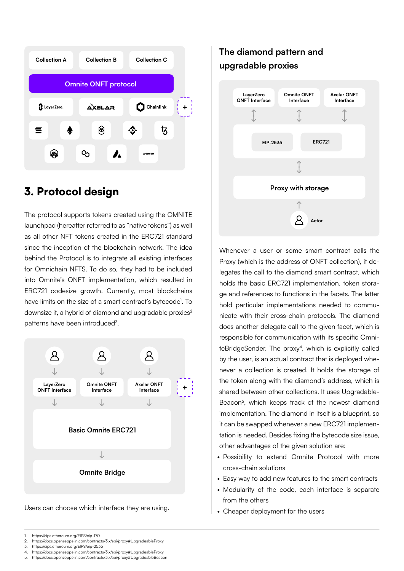

# 3. Protocol design

The protocol supports tokens created using the OMNITE launchpad (hereafter referred to as "native tokens") as well as all other NFT tokens created in the ERC721 standard since the inception of the blockchain network. The idea behind the Protocol is to integrate all existing interfaces for Omnichain NFTS. To do so, they had to be included into Omnite's ONFT implementation, which resulted in ERC721 codesize growth. Currently, most blockchains have limits on the size of a smart contract's bytecode<sup>1</sup>. To downsize it, a hybrid of diamond and upgradable proxies<sup>2</sup> patterns have been introduced<sup>3</sup>.



Users can choose which interface they are using.

### **The diamond pattern and upgradable proxies**



Whenever a user or some smart contract calls the Proxy (which is the address of ONFT collection), it delegates the call to the diamond smart contract, which holds the basic ERC721 implementation, token storage and references to functions in the facets. The latter hold particular implementations needed to communicate with their cross-chain protocols. The diamond does another delegate call to the given facet, which is responsible for communication with its specific Omni $teBridgeSender$ . The proxy<sup>4</sup>, which is explicitly called by the user, is an actual contract that is deployed whenever a collection is created. It holds the storage of the token along with the diamond's address, which is shared between other collections. It uses Upgradable-Beacon<sup>5</sup>, which keeps track of the newest diamond implementation. The diamond in itself is a blueprint, so it can be swapped whenever a new ERC721 implementation is needed. Besides fixing the bytecode size issue, other advantages of the given solution are:

- Possibility to extend Omnite Protocol with more cross-chain solutions
- Easy way to add new features to the smart contracts
- Modularity of the code, each interface is separate from the others
- Cheaper deployment for the users

- 2. https://docs.openzeppelin.com/contracts/3.x/api/proxy#UpgradeableProxy
- 3. https://eips.ethereum.org/EIPS/eip-2535<br>4. https://docs.openzeppelin.com/contracts.
- 4. https://docs.openzeppelin.com/contracts/3.x/api/proxy#UpgradeableProxy 5. https://docs.openzeppelin.com/contracts/3.x/api/proxy#UpgradeableBeacon

<sup>1.</sup> https://eips.ethereum.org/EIPS/eip-170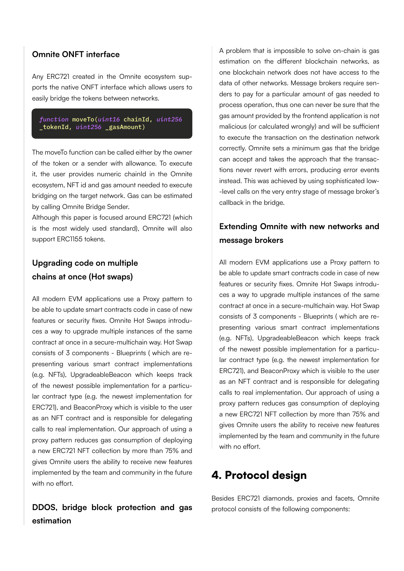#### **Omnite ONFT interface**

Any ERC721 created in the Omnite ecosystem supports the native ONFT interface which allows users to easily bridge the tokens between networks.

#### *function* moveTo(*uint16* chainId, *uint256* \_tokenId, *uint256* \_gasAmount)

The moveTo function can be called either by the owner of the token or a sender with allowance. To execute it, the user provides numeric chainId in the Omnite ecosystem, NFT id and gas amount needed to execute bridging on the target network. Gas can be estimated by calling Omnite Bridge Sender.

Although this paper is focused around ERC721 (which is the most widely used standard), Omnite will also support ERC1155 tokens.

### **Upgrading code on multiple chains at once (Hot swaps)**

All modern EVM applications use a Proxy pattern to be able to update smart contracts code in case of new features or security fixes. Omnite Hot Swaps introduces a way to upgrade multiple instances of the same contract at once in a secure-multichain way. Hot Swap consists of 3 components - Blueprints ( which are representing various smart contract implementations (e.g. NFTs), UpgradeableBeacon which keeps track of the newest possible implementation for a particular contract type (e.g. the newest implementation for ERC721), and BeaconProxy which is visible to the user as an NFT contract and is responsible for delegating calls to real implementation. Our approach of using a proxy pattern reduces gas consumption of deploying a new ERC721 NFT collection by more than 75% and gives Omnite users the ability to receive new features implemented by the team and community in the future with no effort.

### **DDOS, bridge block protection and gas estimation**

A problem that is impossible to solve on-chain is gas estimation on the different blockchain networks, as one blockchain network does not have access to the data of other networks. Message brokers require senders to pay for a particular amount of gas needed to process operation, thus one can never be sure that the gas amount provided by the frontend application is not malicious (or calculated wrongly) and will be sufficient to execute the transaction on the destination network correctly. Omnite sets a minimum gas that the bridge can accept and takes the approach that the transactions never revert with errors, producing error events instead. This was achieved by using sophisticated low- -level calls on the very entry stage of message broker's callback in the bridge.

### **Extending Omnite with new networks and message brokers**

All modern EVM applications use a Proxy pattern to be able to update smart contracts code in case of new features or security fixes. Omnite Hot Swaps introduces a way to upgrade multiple instances of the same contract at once in a secure-multichain way. Hot Swap consists of 3 components - Blueprints ( which are representing various smart contract implementations (e.g. NFTs), UpgradeableBeacon which keeps track of the newest possible implementation for a particular contract type (e.g. the newest implementation for ERC721), and BeaconProxy which is visible to the user as an NFT contract and is responsible for delegating calls to real implementation. Our approach of using a proxy pattern reduces gas consumption of deploying a new ERC721 NFT collection by more than 75% and gives Omnite users the ability to receive new features implemented by the team and community in the future with no effort.

# 4. Protocol design

Besides ERC721 diamonds, proxies and facets, Omnite protocol consists of the following components: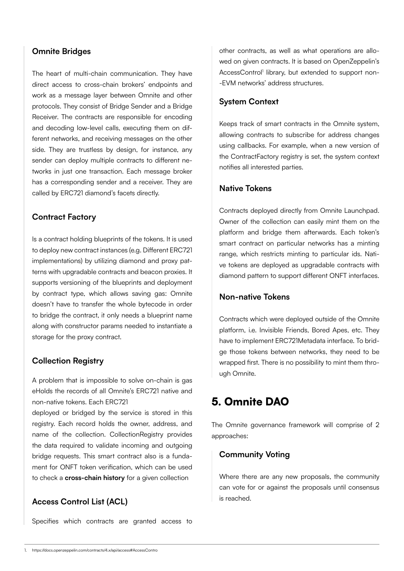#### **Omnite Bridges**

The heart of multi-chain communication. They have direct access to cross-chain brokers' endpoints and work as a message layer between Omnite and other protocols. They consist of Bridge Sender and a Bridge Receiver. The contracts are responsible for encoding and decoding low-level calls, executing them on different networks, and receiving messages on the other side. They are trustless by design, for instance, any sender can deploy multiple contracts to different networks in just one transaction. Each message broker has a corresponding sender and a receiver. They are called by ERC721 diamond's facets directly.

#### **Contract Factory**

Is a contract holding blueprints of the tokens. It is used to deploy new contract instances (e.g. Different ERC721 implementations) by utilizing diamond and proxy patterns with upgradable contracts and beacon proxies. It supports versioning of the blueprints and deployment by contract type, which allows saving gas: Omnite doesn't have to transfer the whole bytecode in order to bridge the contract, it only needs a blueprint name along with constructor params needed to instantiate a storage for the proxy contract.

#### **Collection Registry**

A problem that is impossible to solve on-chain is gas eHolds the records of all Omnite's ERC721 native and non-native tokens. Each ERC721

deployed or bridged by the service is stored in this registry. Each record holds the owner, address, and name of the collection. CollectionRegistry provides the data required to validate incoming and outgoing bridge requests. This smart contract also is a fundament for ONFT token verification, which can be used to check a **cross-chain history** for a given collection

#### **Access Control List (ACL)**

Specifies which contracts are granted access to

other contracts, as well as what operations are allowed on given contracts. It is based on OpenZeppelin's AccessControl<sup>1</sup> library, but extended to support non--EVM networks' address structures.

#### **System Context**

Keeps track of smart contracts in the Omnite system, allowing contracts to subscribe for address changes using callbacks. For example, when a new version of the ContractFactory registry is set, the system context notifies all interested parties.

#### **Native Tokens**

Contracts deployed directly from Omnite Launchpad. Owner of the collection can easily mint them on the platform and bridge them afterwards. Each token's smart contract on particular networks has a minting range, which restricts minting to particular ids. Native tokens are deployed as upgradable contracts with diamond pattern to support different ONFT interfaces.

#### **Non-native Tokens**

Contracts which were deployed outside of the Omnite platform, i.e. Invisible Friends, Bored Apes, etc. They have to implement ERC721Metadata interface. To bridge those tokens between networks, they need to be wrapped first. There is no possibility to mint them through Omnite.

### 5. Omnite DAO

The Omnite governance framework will comprise of 2 approaches:

#### **Community Voting**

Where there are any new proposals, the community can vote for or against the proposals until consensus is reached.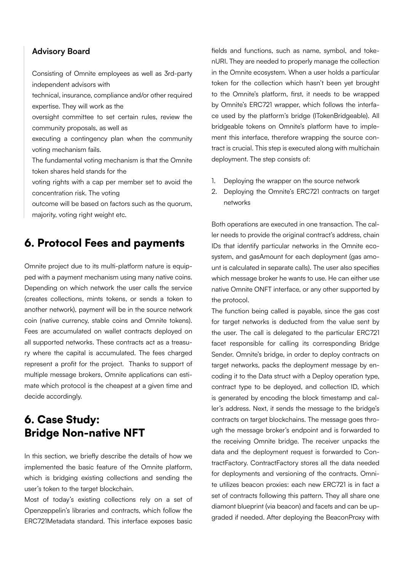#### **Advisory Board**

Consisting of Omnite employees as well as 3rd-party independent advisors with

technical, insurance, compliance and/or other required expertise. They will work as the

oversight committee to set certain rules, review the community proposals, as well as

executing a contingency plan when the community voting mechanism fails.

The fundamental voting mechanism is that the Omnite token shares held stands for the

voting rights with a cap per member set to avoid the concentration risk. The voting

outcome will be based on factors such as the quorum, majority, voting right weight etc.

### 6. Protocol Fees and payments

Omnite project due to its multi-platform nature is equipped with a payment mechanism using many native coins. Depending on which network the user calls the service (creates collections, mints tokens, or sends a token to another network), payment will be in the source network coin (native currency, stable coins and Omnite tokens). Fees are accumulated on wallet contracts deployed on all supported networks. These contracts act as a treasury where the capital is accumulated. The fees charged represent a profit for the project. Thanks to support of multiple message brokers, Omnite applications can estimate which protocol is the cheapest at a given time and decide accordingly.

### 6. Case Study: Bridge Non-native NFT

In this section, we briefly describe the details of how we implemented the basic feature of the Omnite platform, which is bridging existing collections and sending the user's token to the target blockchain.

Most of today's existing collections rely on a set of Openzeppelin's libraries and contracts, which follow the ERC721Metadata standard. This interface exposes basic fields and functions, such as name, symbol, and tokenURI. They are needed to properly manage the collection in the Omnite ecosystem. When a user holds a particular token for the collection which hasn't been yet brought to the Omnite's platform, first, it needs to be wrapped by Omnite's ERC721 wrapper, which follows the interface used by the platform's bridge (ITokenBridgeable). All bridgeable tokens on Omnite's platform have to implement this interface, therefore wrapping the source contract is crucial. This step is executed along with multichain deployment. The step consists of:

- 1. Deploying the wrapper on the source network
- 2. Deploying the Omnite's ERC721 contracts on target networks

Both operations are executed in one transaction. The caller needs to provide the original contract's address, chain IDs that identify particular networks in the Omnite ecosystem, and gasAmount for each deployment (gas amount is calculated in separate calls). The user also specifies which message broker he wants to use. He can either use native Omnite ONFT interface, or any other supported by the protocol.

The function being called is payable, since the gas cost for target networks is deducted from the value sent by the user. The call is delegated to the particular ERC721 facet responsible for calling its corresponding Bridge Sender. Omnite's bridge, in order to deploy contracts on target networks, packs the deployment message by encoding it to the Data struct with a Deploy operation type, contract type to be deployed, and collection ID, which is generated by encoding the block timestamp and caller's address. Next, it sends the message to the bridge's contracts on target blockchains. The message goes through the message broker's endpoint and is forwarded to the receiving Omnite bridge. The receiver unpacks the data and the deployment request is forwarded to ContractFactory. ContractFactory stores all the data needed for deployments and versioning of the contracts. Omnite utilizes beacon proxies: each new ERC721 is in fact a set of contracts following this pattern. They all share one diamont blueprint (via beacon) and facets and can be upgraded if needed. After deploying the BeaconProxy with